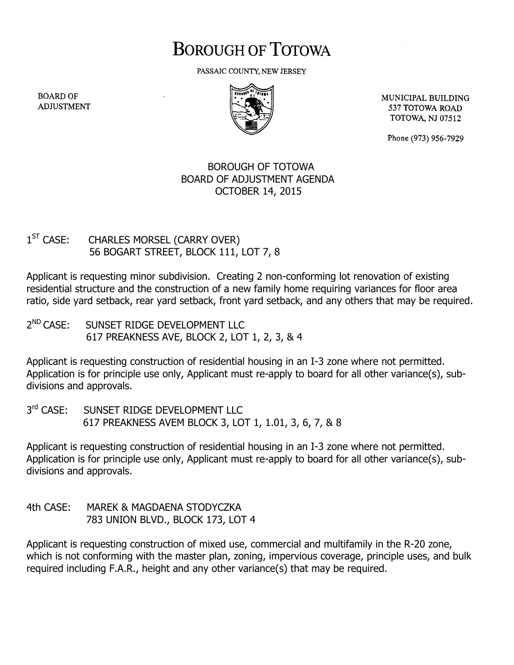## **BOROUGH OF TOTOWA**

PASSAIC COUNTY, NEW JERSEY

**BOARD OF ADJUSTMENT** 



MUNICIPAL BUILDING 537 TOTOWA ROAD **TOTOWA, NJ 07512** 

Phone (973) 956-7929

## BOROUGH OF TOTOWA BOARD OF ADJUSTMENT AGENDA OCTOBER 14, 2015

## $1^{ST}$  CASE: CHARLES MORSEL (CARRY OVER) 56 BOGART STREET, BLOCK 111, LOT 7, 8

Applicant is requesting minor subdivision. Creating 2 non-conforming lot renovation of existing residential structure and the construction of a new family home requiring variances for floor area ratio, side yard setback, rear yard setback, front yard setback, and any others that may be required.

 $2^{ND}$  CASE: SUNSET RIDGE DEVELOPMENT LLC 617 PREAKNESS AVE, BLOCK 2, LOT 1, 2, 3, & 4

Applicant is requesting construction of residential housing in an I-3 zone where not permitted. Application is for principle use only, Applicant must re-apply to board for all other variance(s), subdivisions and approvals.

 $3<sup>rd</sup> CASE:$ SUNSET RIDGE DEVELOPMENT LLC 617 PREAKNESS AVEM BLOCK 3, LOT 1, 1.01, 3, 6, 7, & 8

Applicant is requesting construction of residential housing in an I-3 zone where not permitted. Application is for principle use only, Applicant must re-apply to board for all other variance(s), subdivisions and approvals.

4th CASE: MAREK & MAGDAENA STODYCZKA 783 UNION BLVD., BLOCK 173, LOT 4

Applicant is requesting construction of mixed use, commercial and multifamily in the R-20 zone, which is not conforming with the master plan, zoning, impervious coverage, principle uses, and bulk required including F.A.R., height and any other variance(s) that may be required.